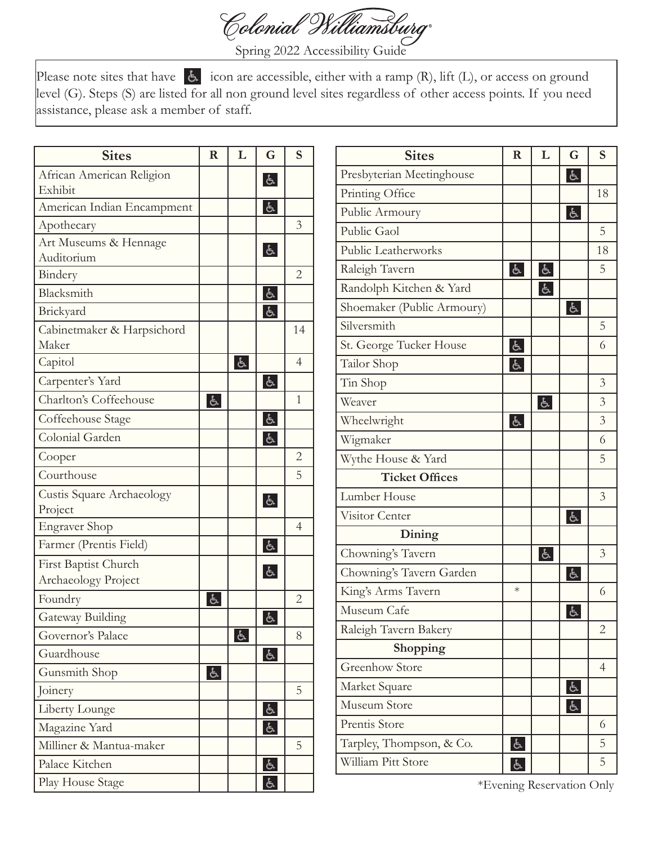

Spring 2022 Accessibility Guide

Please note sites that have  $\epsilon$  icon are accessible, either with a ramp (R), lift (L), or access on ground level (G). Steps (S) are listed for all non ground level sites regardless of other access points. If you need assistance, please ask a member of staff.

| <b>Sites</b>               | $\mathbf R$    | L              | G                                          | S              |
|----------------------------|----------------|----------------|--------------------------------------------|----------------|
| African American Religion  |                |                | $\mathfrak{F}$                             |                |
| Exhibit                    |                |                |                                            |                |
| American Indian Encampment |                |                | $\mathfrak{F}$                             |                |
| Apothecary                 |                |                |                                            | 3              |
| Art Museums & Hennage      |                |                | $\mathfrak{F}$                             |                |
| Auditorium                 |                |                |                                            |                |
| Bindery                    |                |                |                                            | $\overline{2}$ |
| Blacksmith                 |                |                | $\mathfrak{E}% _{A}^{\alpha\beta}(\theta)$ |                |
| Brickyard                  |                |                | $\mathfrak{F}$                             |                |
| Cabinetmaker & Harpsichord |                |                |                                            | 14             |
| Maker                      |                |                |                                            |                |
| Capitol                    |                | $\mathfrak{F}$ |                                            | $\overline{4}$ |
| Carpenter's Yard           |                |                | $\mathfrak{F}$                             |                |
| Charlton's Coffeehouse     | $\mathfrak{F}$ |                |                                            | 1              |
| Coffeehouse Stage          |                |                | E                                          |                |
| Colonial Garden            |                |                | $\mathfrak{F}$                             |                |
| Cooper                     |                |                |                                            | $\overline{2}$ |
| Courthouse                 |                |                |                                            | 5              |
| Custis Square Archaeology  |                |                | $\mathfrak{F}$                             |                |
| Project                    |                |                |                                            |                |
| <b>Engraver Shop</b>       |                |                |                                            | $\overline{4}$ |
| Farmer (Prentis Field)     |                |                | $\mathfrak{F}$                             |                |
| First Baptist Church       |                |                | $\mathfrak{F}$                             |                |
| Archaeology Project        |                |                |                                            |                |
| Foundry                    | දු             |                |                                            | $\overline{2}$ |
| Gateway Building           |                |                | と                                          |                |
| Governor's Palace          |                | $\mathfrak{F}$ |                                            | 8              |
| Guardhouse                 |                |                | $\mathfrak{F}$                             |                |
| Gunsmith Shop              | $\mathfrak{F}$ |                |                                            |                |
| Joinery                    |                |                |                                            | 5              |
| Liberty Lounge             |                |                | $\mathfrak{E}$                             |                |
| Magazine Yard              |                |                | ු                                          |                |
| Milliner & Mantua-maker    |                |                |                                            | 5              |
| Palace Kitchen             |                |                | $\mathbb{P}$                               |                |
| Play House Stage           |                |                | と                                          |                |

| <b>Sites</b>               | $\mathbf R$    | L              | G              | S              |
|----------------------------|----------------|----------------|----------------|----------------|
| Presbyterian Meetinghouse  |                |                | $\mathfrak{F}$ |                |
| Printing Office            |                |                |                | 18             |
| Public Armoury             |                |                | $\mathfrak{F}$ |                |
| Public Gaol                |                |                |                | 5              |
| Public Leatherworks        |                |                |                | 18             |
| Raleigh Tavern             | $\mathfrak{F}$ | $\mathfrak{F}$ |                | 5              |
| Randolph Kitchen & Yard    |                | $\mathfrak{F}$ |                |                |
| Shoemaker (Public Armoury) |                |                | $\mathfrak{F}$ |                |
| Silversmith                |                |                |                | 5              |
| St. George Tucker House    | $\mathfrak{F}$ |                |                | 6              |
| Tailor Shop                | と              |                |                |                |
| Tin Shop                   |                |                |                | 3              |
| Weaver                     |                | と              |                | 3              |
| Wheelwright                | と              |                |                | 3              |
| Wigmaker                   |                |                |                | 6              |
| Wythe House & Yard         |                |                |                | 5              |
| <b>Ticket Offices</b>      |                |                |                |                |
| Lumber House               |                |                |                | 3              |
| Visitor Center             |                |                | යි             |                |
| Dining                     |                |                |                |                |
| Chowning's Tavern          |                | E              |                | 3              |
| Chowning's Tavern Garden   |                |                | $\mathfrak{F}$ |                |
| King's Arms Tavern         | $\ast$         |                |                | 6              |
| Museum Cafe                |                |                | $\mathfrak{F}$ |                |
| Raleigh Tavern Bakery      |                |                |                | $\overline{2}$ |
| Shopping                   |                |                |                |                |
| <b>Greenhow Store</b>      |                |                |                | $\overline{4}$ |
| Market Square              |                |                | と              |                |
| Museum Store               |                |                | දැ             |                |
| Prentis Store              |                |                |                | 6              |
| Tarpley, Thompson, & Co.   | と              |                |                | 5              |
| William Pitt Store         | $\mathfrak{P}$ |                |                | 5              |

\*Evening Reservation Only